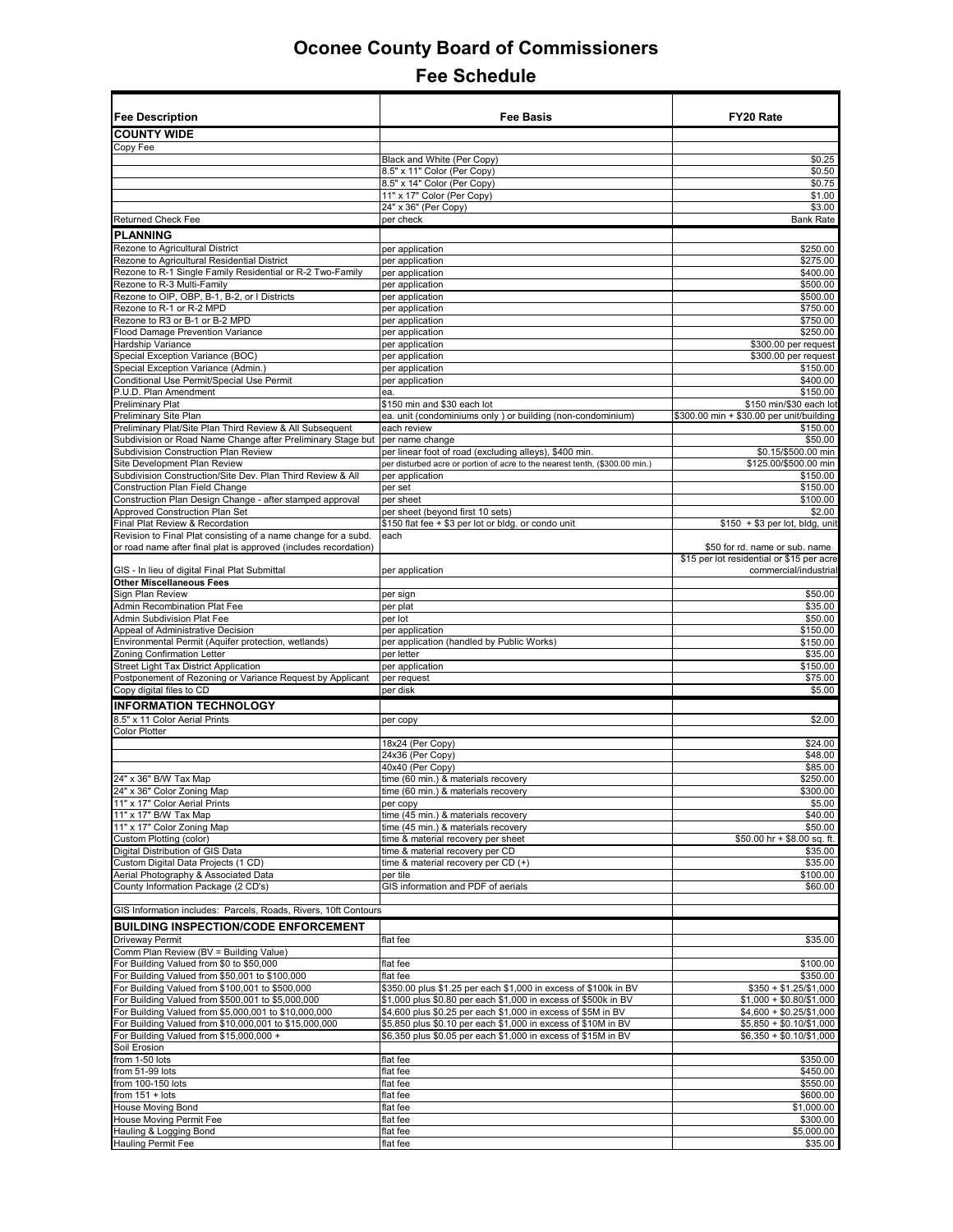| <b>Fee Description</b>                                                                                        | <b>Fee Basis</b>                                                                                                              | FY20 Rate                                                                   |
|---------------------------------------------------------------------------------------------------------------|-------------------------------------------------------------------------------------------------------------------------------|-----------------------------------------------------------------------------|
|                                                                                                               |                                                                                                                               |                                                                             |
| <b>COUNTY WIDE</b>                                                                                            |                                                                                                                               |                                                                             |
| Copy Fee                                                                                                      | Black and White (Per Copy)                                                                                                    | \$0.25                                                                      |
|                                                                                                               | 8.5" x 11" Color (Per Copy)                                                                                                   | \$0.50                                                                      |
|                                                                                                               | 8.5" x 14" Color (Per Copy)                                                                                                   | \$0.75                                                                      |
|                                                                                                               | 11" x 17" Color (Per Copy)                                                                                                    | \$1.00                                                                      |
|                                                                                                               | 24" x 36" (Per Copy)                                                                                                          | \$3.00                                                                      |
| <b>Returned Check Fee</b>                                                                                     | per check                                                                                                                     | <b>Bank Rate</b>                                                            |
| <b>PLANNING</b>                                                                                               |                                                                                                                               |                                                                             |
| Rezone to Agricultural District                                                                               | per application                                                                                                               | \$250.00                                                                    |
| Rezone to Agricultural Residential District                                                                   | per application                                                                                                               | \$275.00<br>\$400.00                                                        |
| Rezone to R-1 Single Family Residential or R-2 Two-Family<br>Rezone to R-3 Multi-Family                       | per application<br>per application                                                                                            | \$500.00                                                                    |
| Rezone to OIP, OBP, B-1, B-2, or I Districts                                                                  | per application                                                                                                               | \$500.00                                                                    |
| Rezone to R-1 or R-2 MPD                                                                                      | per application                                                                                                               | \$750.00                                                                    |
| Rezone to R3 or B-1 or B-2 MPD                                                                                | per application                                                                                                               | \$750.00                                                                    |
| Flood Damage Prevention Variance                                                                              | per application                                                                                                               | \$250.00                                                                    |
| Hardship Variance                                                                                             | per application                                                                                                               | \$300.00 per request                                                        |
| Special Exception Variance (BOC)                                                                              | per application                                                                                                               | \$300.00 per request                                                        |
| Special Exception Variance (Admin.)                                                                           | per application                                                                                                               | \$150.00<br>\$400.00                                                        |
| Conditional Use Permit/Special Use Permit<br>P.U.D. Plan Amendment                                            | per application<br>ea.                                                                                                        | \$150.00                                                                    |
| <b>Preliminary Plat</b>                                                                                       | \$150 min and \$30 each lot                                                                                                   | \$150 min/\$30 each lot                                                     |
| Preliminary Site Plan                                                                                         | ea. unit (condominiums only) or building (non-condominium)                                                                    | \$300.00 min + \$30.00 per unit/building                                    |
| Preliminary Plat/Site Plan Third Review & All Subsequent                                                      | each review                                                                                                                   | \$150.00                                                                    |
| Subdivision or Road Name Change after Preliminary Stage but                                                   | per name change                                                                                                               | \$50.00                                                                     |
| Subdivision Construction Plan Review                                                                          | per linear foot of road (excluding alleys), \$400 min.                                                                        | \$0.15/\$500.00 min                                                         |
| Site Development Plan Review                                                                                  | per disturbed acre or portion of acre to the nearest tenth, (\$300.00 min.)                                                   | \$125.00/\$500.00 min                                                       |
| Subdivision Construction/Site Dev. Plan Third Review & All<br>Construction Plan Field Change                  | per application                                                                                                               | \$150.00<br>\$150.00                                                        |
| Construction Plan Design Change - after stamped approval                                                      | per set<br>per sheet                                                                                                          | \$100.00                                                                    |
| Approved Construction Plan Set                                                                                | per sheet (beyond first 10 sets)                                                                                              | \$2.00                                                                      |
| Final Plat Review & Recordation                                                                               | \$150 flat fee + \$3 per lot or bldg. or condo unit                                                                           | $$150 + $3$ per lot, bldg, unit                                             |
| Revision to Final Plat consisting of a name change for a subd.                                                | each                                                                                                                          |                                                                             |
| or road name after final plat is approved (includes recordation)                                              |                                                                                                                               | \$50 for rd. name or sub. name<br>\$15 per lot residential or \$15 per acre |
| GIS - In lieu of digital Final Plat Submittal                                                                 | per application                                                                                                               | commercial/industrial                                                       |
| <b>Other Miscellaneous Fees</b>                                                                               |                                                                                                                               |                                                                             |
| Sign Plan Review                                                                                              | per sign                                                                                                                      | \$50.00                                                                     |
| Admin Recombination Plat Fee                                                                                  | per plat                                                                                                                      | \$35.00                                                                     |
| Admin Subdivision Plat Fee                                                                                    | per lot                                                                                                                       | \$50.00                                                                     |
| Appeal of Administrative Decision<br>Environmental Permit (Aquifer protection, wetlands)                      | per application                                                                                                               | \$150.00<br>\$150.00                                                        |
| Zoning Confirmation Letter                                                                                    | per application (handled by Public Works)<br>per letter                                                                       | \$35.00                                                                     |
| Street Light Tax District Application                                                                         | per application                                                                                                               | \$150.00                                                                    |
| Postponement of Rezoning or Variance Request by Applicant                                                     | per request                                                                                                                   | \$75.00                                                                     |
| Copy digital files to CD                                                                                      | per disk                                                                                                                      | \$5.00                                                                      |
| <b>INFORMATION TECHNOLOGY</b>                                                                                 |                                                                                                                               |                                                                             |
| 8.5" x 11 Color Aerial Prints                                                                                 | per copy                                                                                                                      | \$2.00                                                                      |
| <b>Color Plotter</b>                                                                                          |                                                                                                                               |                                                                             |
|                                                                                                               | 18x24 (Per Copy)                                                                                                              | \$24.00                                                                     |
|                                                                                                               | 24x36 (Per Copy)                                                                                                              | \$48.00                                                                     |
|                                                                                                               | 40x40 (Per Copy)                                                                                                              | \$85.00                                                                     |
| 24" x 36" B/W Tax Map<br>24" x 36" Color Zoning Map                                                           | time (60 min.) & materials recovery<br>time (60 min.) & materials recovery                                                    | \$250.00<br>\$300.00                                                        |
| 11" x 17" Color Aerial Prints                                                                                 | per copy                                                                                                                      | \$5.00                                                                      |
| 11" x 17" B/W Tax Map                                                                                         | time (45 min.) & materials recovery                                                                                           | \$40.00                                                                     |
| 11" x 17" Color Zoning Map                                                                                    | time (45 min.) & materials recovery                                                                                           | \$50.00                                                                     |
| Custom Plotting (color)                                                                                       | time & material recovery per sheet                                                                                            | \$50.00 hr + \$8.00 sq. ft.                                                 |
| Digital Distribution of GIS Data                                                                              | time & material recovery per CD                                                                                               | \$35.00                                                                     |
| Custom Digital Data Projects (1 CD)                                                                           | time & material recovery per CD (+)                                                                                           | \$35.00                                                                     |
| Aerial Photography & Associated Data<br>County Information Package (2 CD's)                                   | per tile<br>GIS information and PDF of aerials                                                                                | \$100.00<br>\$60.00                                                         |
|                                                                                                               |                                                                                                                               |                                                                             |
| GIS Information includes: Parcels, Roads, Rivers, 10ft Contours                                               |                                                                                                                               |                                                                             |
| <b>BUILDING INSPECTION/CODE ENFORCEMENT</b>                                                                   |                                                                                                                               |                                                                             |
| Driveway Permit                                                                                               | flat fee                                                                                                                      | \$35.00                                                                     |
| Comm Plan Review (BV = Building Value)                                                                        |                                                                                                                               |                                                                             |
| For Building Valued from \$0 to \$50,000                                                                      | flat fee                                                                                                                      | \$100.00                                                                    |
| For Building Valued from \$50,001 to \$100,000                                                                | flat fee                                                                                                                      | \$350.00                                                                    |
| For Building Valued from \$100,001 to \$500,000                                                               | \$350.00 plus \$1.25 per each \$1,000 in excess of \$100k in BV                                                               | $$350 + $1.25/\$1,000$                                                      |
| or Building Valued from \$500,001 to \$5,000,000                                                              | \$1,000 plus \$0.80 per each \$1,000 in excess of \$500k in BV                                                                | $$1,000 + $0.80/\$1,000$                                                    |
| For Building Valued from \$5,000,001 to \$10,000,000<br>For Building Valued from \$10,000,001 to \$15,000,000 | \$4,600 plus \$0.25 per each \$1,000 in excess of \$5M in BV<br>\$5,850 plus \$0.10 per each \$1,000 in excess of \$10M in BV | $$4,600 + $0.25/\$1,000$<br>$$5,850 + $0.10 \times 1000$                    |
| For Building Valued from \$15,000,000 +                                                                       | \$6,350 plus \$0.05 per each \$1,000 in excess of \$15M in BV                                                                 | $$6,350 + $0.10/\$1,000$                                                    |
| Soil Erosion                                                                                                  |                                                                                                                               |                                                                             |
| from 1-50 lots                                                                                                | flat fee                                                                                                                      | \$350.00                                                                    |
| from 51-99 lots                                                                                               | flat fee                                                                                                                      | \$450.00                                                                    |
| from 100-150 lots                                                                                             | flat fee                                                                                                                      | \$550.00                                                                    |
| from $151 + \text{ lots}$                                                                                     | flat fee                                                                                                                      | \$600.00                                                                    |
| <b>House Moving Bond</b>                                                                                      | flat fee                                                                                                                      | \$1,000.00                                                                  |
| louse Moving Permit Fee                                                                                       | flat fee                                                                                                                      | \$300.00<br>\$5,000.00                                                      |
| lauling & Logging Bond<br><b>Hauling Permit Fee</b>                                                           | flat fee<br>flat fee                                                                                                          | \$35.00                                                                     |
|                                                                                                               |                                                                                                                               |                                                                             |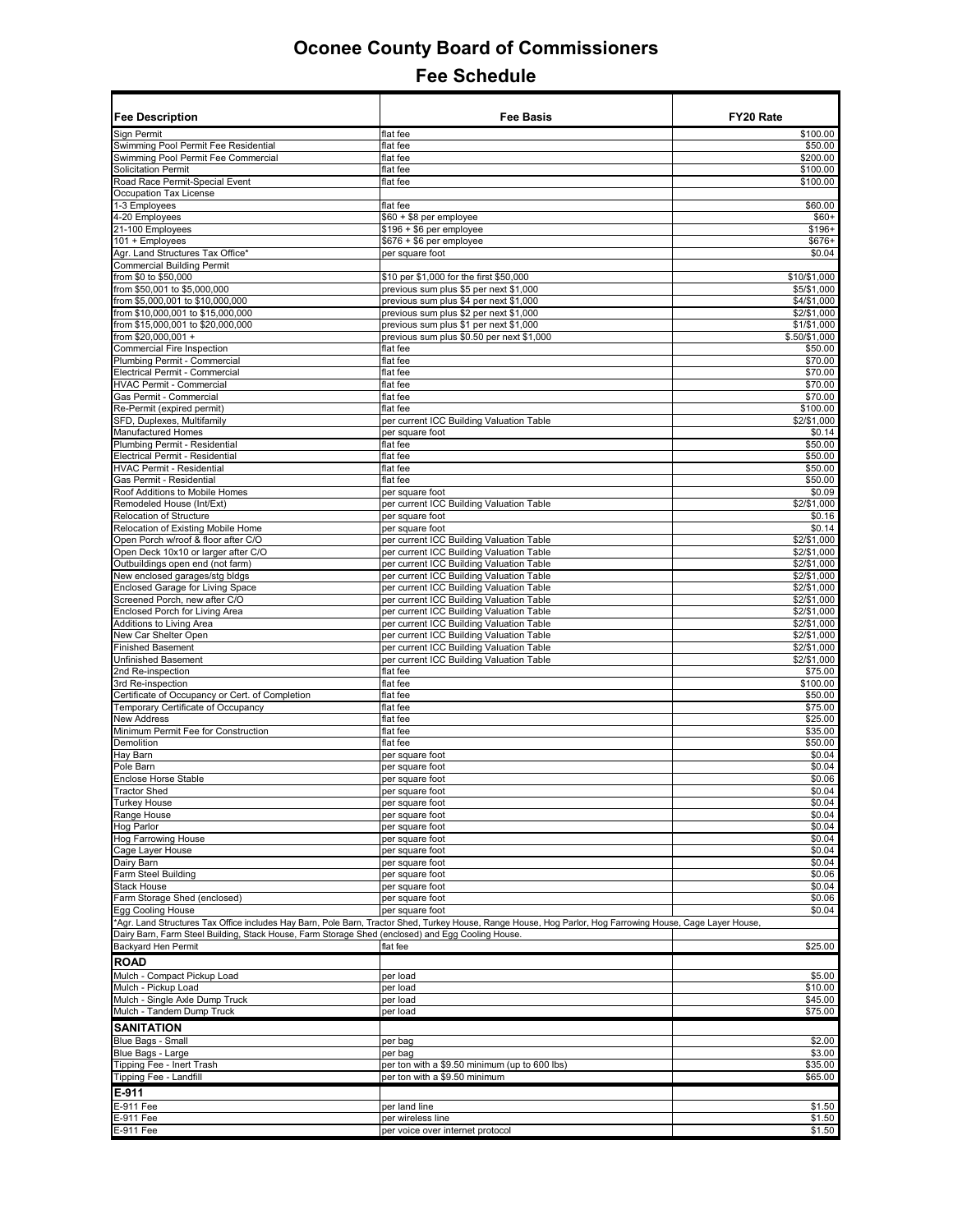| <b>Fee Description</b>                                                                                                          | <b>Fee Basis</b>                                                                                                                                           | FY20 Rate                  |
|---------------------------------------------------------------------------------------------------------------------------------|------------------------------------------------------------------------------------------------------------------------------------------------------------|----------------------------|
| Sign Permit                                                                                                                     | flat fee                                                                                                                                                   | \$100.00                   |
| Swimming Pool Permit Fee Residential                                                                                            | flat fee                                                                                                                                                   | \$50.00                    |
| Swimming Pool Permit Fee Commercial                                                                                             | flat fee                                                                                                                                                   | \$200.00                   |
| <b>Solicitation Permit</b>                                                                                                      | flat fee                                                                                                                                                   | \$100.00                   |
| Road Race Permit-Special Event                                                                                                  | flat fee                                                                                                                                                   | \$100.00                   |
| Occupation Tax License<br>1-3 Employees                                                                                         | flat fee                                                                                                                                                   | \$60.00                    |
| 4-20 Employees                                                                                                                  | \$60 + \$8 per employee                                                                                                                                    | $$60+$                     |
|                                                                                                                                 | $$196 + $6$ per employee                                                                                                                                   | $$196+$                    |
| 21-100 Employees<br>101 + Employees                                                                                             | $$676 + $6$ per employee                                                                                                                                   | $$676+$                    |
| Agr. Land Structures Tax Office*                                                                                                | per square foot                                                                                                                                            | \$0.04                     |
| <b>Commercial Building Permit</b>                                                                                               |                                                                                                                                                            |                            |
| from \$0 to \$50,000                                                                                                            | \$10 per \$1,000 for the first \$50,000                                                                                                                    | \$10/\$1.000               |
| from \$50,001 to \$5,000,000                                                                                                    | previous sum plus \$5 per next \$1,000                                                                                                                     | \$5/\$1,000                |
| from \$5,000,001 to \$10,000,000                                                                                                | previous sum plus \$4 per next \$1,000                                                                                                                     | \$4/\$1,000                |
| from \$10,000,001 to \$15,000,000                                                                                               | previous sum plus \$2 per next \$1,000                                                                                                                     | \$2/\$1,000                |
| from \$15,000,001 to \$20,000,000                                                                                               | previous sum plus \$1 per next \$1,000                                                                                                                     | \$1/\$1,000                |
| from \$20,000,001 +                                                                                                             | previous sum plus \$0.50 per next \$1,000                                                                                                                  | $$.50/\$1,000$             |
| Commercial Fire Inspection                                                                                                      | flat fee                                                                                                                                                   | \$50.00                    |
| Plumbing Permit - Commercial                                                                                                    | flat fee                                                                                                                                                   | \$70.00                    |
| Electrical Permit - Commercial                                                                                                  | flat fee                                                                                                                                                   | \$70.00                    |
| <b>HVAC Permit - Commercial</b>                                                                                                 | flat fee                                                                                                                                                   | \$70.00                    |
| Gas Permit - Commercial<br>Re-Permit (expired permit)                                                                           | flat fee<br>flat fee                                                                                                                                       | \$70.00<br>\$100.00        |
| SFD, Duplexes, Multifamily                                                                                                      | per current ICC Building Valuation Table                                                                                                                   | \$2/\$1.000                |
| <b>Manufactured Homes</b>                                                                                                       | per square foot                                                                                                                                            | \$0.14                     |
| Plumbing Permit - Residential                                                                                                   | flat fee                                                                                                                                                   | \$50.00                    |
| Electrical Permit - Residential                                                                                                 | flat fee                                                                                                                                                   | \$50.00                    |
| <b>HVAC Permit - Residential</b>                                                                                                | flat fee                                                                                                                                                   | \$50.00                    |
| Gas Permit - Residential                                                                                                        | flat fee                                                                                                                                                   | \$50.00                    |
| Roof Additions to Mobile Homes                                                                                                  | per square foot                                                                                                                                            | \$0.09                     |
| Remodeled House (Int/Ext)                                                                                                       | per current ICC Building Valuation Table                                                                                                                   | \$2/\$1,000                |
| <b>Relocation of Structure</b>                                                                                                  | per square foot                                                                                                                                            | \$0.16                     |
| Relocation of Existing Mobile Home                                                                                              | per square foot                                                                                                                                            | \$0.14                     |
| Open Porch w/roof & floor after C/O                                                                                             | per current ICC Building Valuation Table                                                                                                                   | \$2/\$1,000                |
| Open Deck 10x10 or larger after C/O                                                                                             | per current ICC Building Valuation Table                                                                                                                   | \$2/\$1,000                |
| Outbuildings open end (not farm)                                                                                                | per current ICC Building Valuation Table                                                                                                                   | \$2/\$1,000                |
| Vew enclosed garages/stg bldgs                                                                                                  | per current ICC Building Valuation Table                                                                                                                   | \$2/\$1,000                |
| Enclosed Garage for Living Space<br>Screened Porch, new after C/O                                                               | per current ICC Building Valuation Table                                                                                                                   | $\sqrt{$2/}}1,000$         |
| Enclosed Porch for Living Area                                                                                                  | per current ICC Building Valuation Table<br>per current ICC Building Valuation Table                                                                       | \$2/\$1,000<br>\$2/\$1,000 |
| Additions to Living Area                                                                                                        | per current ICC Building Valuation Table                                                                                                                   | \$2/\$1,000                |
| New Car Shelter Open                                                                                                            | per current ICC Building Valuation Table                                                                                                                   | \$2/\$1,000                |
| <b>Finished Basement</b>                                                                                                        | per current ICC Building Valuation Table                                                                                                                   | \$2/\$1,000                |
| <b>Jnfinished Basement</b>                                                                                                      | per current ICC Building Valuation Table                                                                                                                   | \$2/\$1,000                |
| 2nd Re-inspection                                                                                                               | flat fee                                                                                                                                                   | \$75.00                    |
| 3rd Re-inspection                                                                                                               | flat fee                                                                                                                                                   | \$100.00                   |
| Certificate of Occupancy or Cert. of Completion                                                                                 | flat fee                                                                                                                                                   | \$50.00                    |
| Temporary Certificate of Occupancy                                                                                              | flat fee                                                                                                                                                   | \$75.00                    |
| <b>Vew Address</b>                                                                                                              | flat fee                                                                                                                                                   | \$25.00                    |
| Minimum Permit Fee for Construction                                                                                             | flat fee                                                                                                                                                   | \$35.00                    |
| Demolition                                                                                                                      | flat fee                                                                                                                                                   | \$50.00                    |
| Hay Barn                                                                                                                        | per square foot                                                                                                                                            | \$0.04                     |
| Pole Barn<br><b>Enclose Horse Stable</b>                                                                                        | per square foot<br>per square foot                                                                                                                         | \$0.04<br>\$0.06           |
| <b>Tractor Shed</b>                                                                                                             | per square foot                                                                                                                                            | \$0.04                     |
| <b>Turkey House</b>                                                                                                             | per square foot                                                                                                                                            | \$0.04                     |
| Range House                                                                                                                     | per square foot                                                                                                                                            | \$0.04                     |
| Hog Parlor                                                                                                                      | per square foot                                                                                                                                            | \$0.04                     |
| Hog Farrowing House                                                                                                             | per square foot                                                                                                                                            | \$0.04                     |
| Cage Layer House                                                                                                                | per square foot                                                                                                                                            | \$0.04                     |
| Dairy Barn                                                                                                                      | per square foot                                                                                                                                            | \$0.04                     |
| arm Steel Building                                                                                                              | per square foot                                                                                                                                            | \$0.06                     |
| <b>Stack House</b>                                                                                                              | per square foot                                                                                                                                            | \$0.04                     |
| arm Storage Shed (enclosed)                                                                                                     | per square foot                                                                                                                                            | \$0.06                     |
| Egg Cooling House                                                                                                               | per square foot                                                                                                                                            | \$0.04                     |
|                                                                                                                                 | 'Agr. Land Structures Tax Office includes Hay Barn, Pole Barn, Tractor Shed, Turkey House, Range House, Hog Parlor, Hog Farrowing House, Cage Layer House, |                            |
| Dairy Barn, Farm Steel Building, Stack House, Farm Storage Shed (enclosed) and Egg Cooling House.<br><b>Backyard Hen Permit</b> | flat fee                                                                                                                                                   | \$25.00                    |
|                                                                                                                                 |                                                                                                                                                            |                            |
| <b>ROAD</b>                                                                                                                     |                                                                                                                                                            |                            |
| Mulch - Compact Pickup Load                                                                                                     | per load                                                                                                                                                   | \$5.00                     |
| Mulch - Pickup Load                                                                                                             | per load                                                                                                                                                   | \$10.00                    |
| Mulch - Single Axle Dump Truck                                                                                                  | per load                                                                                                                                                   | \$45.00                    |
| Mulch - Tandem Dump Truck                                                                                                       | per load                                                                                                                                                   | \$75.00                    |
| <b>SANITATION</b>                                                                                                               |                                                                                                                                                            |                            |
| <b>Blue Bags - Small</b>                                                                                                        | per bag                                                                                                                                                    | \$2.00                     |
| Blue Bags - Large                                                                                                               | per bag                                                                                                                                                    | \$3.00                     |
| Tipping Fee - Inert Trash                                                                                                       | per ton with a \$9.50 minimum (up to 600 lbs)                                                                                                              | \$35.00                    |
| Tipping Fee - Landfill                                                                                                          | per ton with a \$9.50 minimum                                                                                                                              | \$65.00                    |
| E-911                                                                                                                           |                                                                                                                                                            |                            |
| E-911 Fee                                                                                                                       | per land line                                                                                                                                              | \$1.50                     |
| E-911 Fee                                                                                                                       | per wireless line                                                                                                                                          | \$1.50                     |
| E-911 Fee                                                                                                                       | per voice over internet protocol                                                                                                                           | \$1.50                     |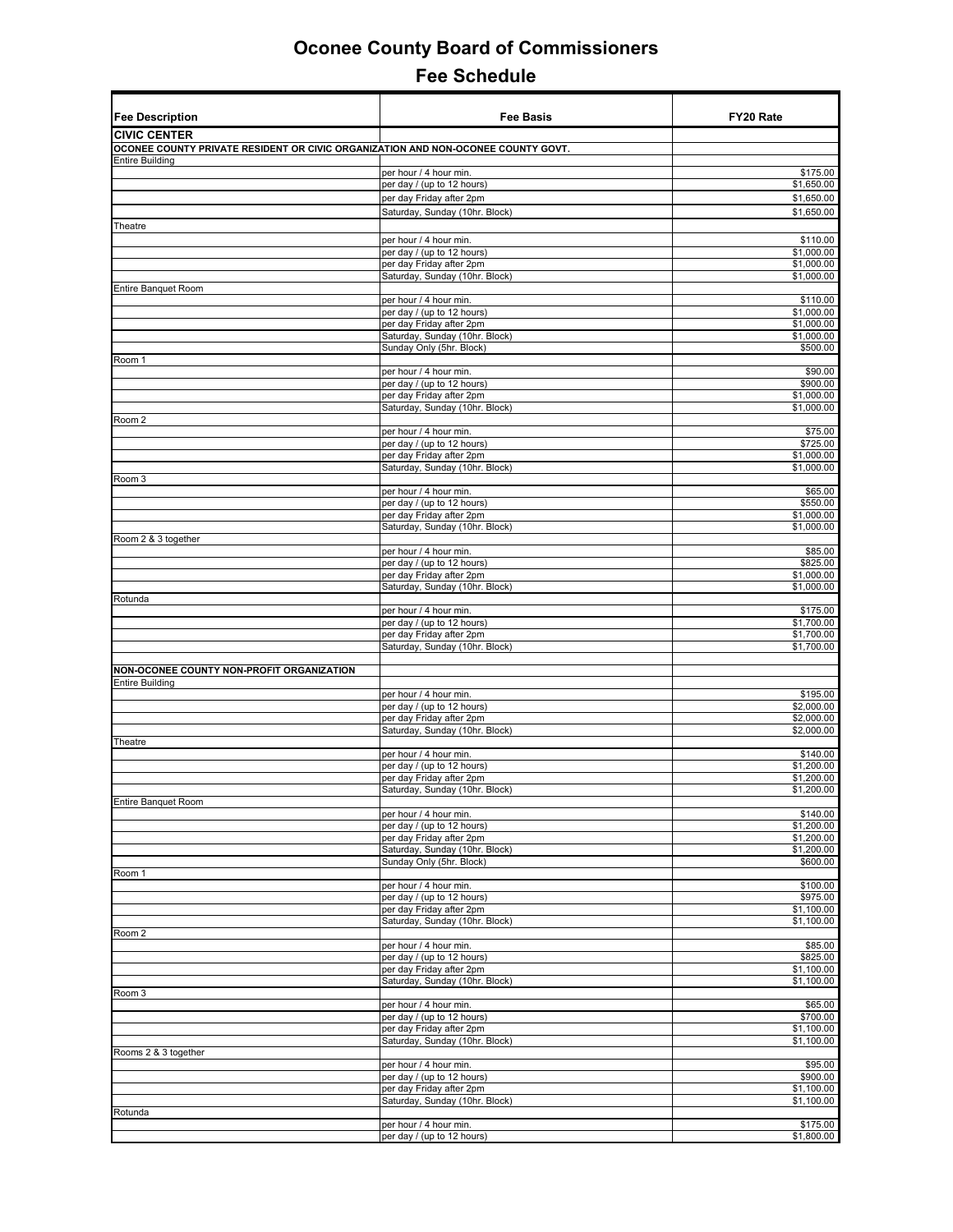| <b>Fee Description</b>                                                           | <b>Fee Basis</b>                                           | FY20 Rate                |
|----------------------------------------------------------------------------------|------------------------------------------------------------|--------------------------|
| <b>CIVIC CENTER</b>                                                              |                                                            |                          |
| OCONEE COUNTY PRIVATE RESIDENT OR CIVIC ORGANIZATION AND NON-OCONEE COUNTY GOVT. |                                                            |                          |
| <b>Entire Building</b>                                                           |                                                            |                          |
|                                                                                  | per hour / 4 hour min.<br>per day / (up to 12 hours)       | \$175.00<br>\$1,650.00   |
|                                                                                  | per day Friday after 2pm                                   | \$1,650.00               |
|                                                                                  | Saturday, Sunday (10hr. Block)                             | \$1,650.00               |
| Theatre                                                                          |                                                            |                          |
|                                                                                  | per hour / 4 hour min.                                     | \$110.00                 |
|                                                                                  | per day / (up to 12 hours)                                 | \$1,000.00               |
|                                                                                  | per day Friday after 2pm<br>Saturday, Sunday (10hr. Block) | \$1,000.00<br>\$1,000.00 |
| Entire Banquet Room                                                              |                                                            |                          |
|                                                                                  | per hour / 4 hour min.                                     | \$110.00                 |
|                                                                                  | per day / (up to 12 hours)                                 | \$1,000.00               |
|                                                                                  | per day Friday after 2pm<br>Saturday, Sunday (10hr. Block) | \$1,000.00<br>\$1,000.00 |
|                                                                                  | Sunday Only (5hr. Block)                                   | \$500.00                 |
| Room 1                                                                           |                                                            |                          |
|                                                                                  | per hour / 4 hour min.                                     | \$90.00                  |
|                                                                                  | per day / (up to 12 hours)<br>per day Friday after 2pm     | \$900.00<br>\$1,000.00   |
|                                                                                  | Saturday, Sunday (10hr. Block)                             | \$1,000.00               |
| Room 2                                                                           |                                                            |                          |
|                                                                                  | per hour / 4 hour min.                                     | \$75.00                  |
|                                                                                  | per day / (up to 12 hours)<br>per day Friday after 2pm     | \$725.00<br>\$1,000.00   |
|                                                                                  | Saturday, Sunday (10hr. Block)                             | \$1,000.00               |
| Room 3                                                                           |                                                            |                          |
|                                                                                  | per hour / 4 hour min.                                     | \$65.00                  |
|                                                                                  | per day / (up to 12 hours)<br>per day Friday after 2pm     | \$550.00<br>\$1,000.00   |
|                                                                                  | Saturday, Sunday (10hr. Block)                             | \$1,000.00               |
| Room 2 & 3 together                                                              |                                                            |                          |
|                                                                                  | per hour / 4 hour min.                                     | \$85.00                  |
|                                                                                  | per day / (up to 12 hours)<br>per day Friday after 2pm     | \$825.00<br>\$1,000.00   |
|                                                                                  | Saturday, Sunday (10hr. Block)                             | \$1,000.00               |
| Rotunda                                                                          |                                                            |                          |
|                                                                                  | per hour / 4 hour min.                                     | \$175.00                 |
|                                                                                  | per day / (up to 12 hours)<br>per day Friday after 2pm     | \$1,700.00<br>\$1,700.00 |
|                                                                                  | Saturday, Sunday (10hr. Block)                             | \$1,700.00               |
|                                                                                  |                                                            |                          |
| NON-OCONEE COUNTY NON-PROFIT ORGANIZATION                                        |                                                            |                          |
| Entire Building                                                                  | per hour / 4 hour min.                                     | \$195.00                 |
|                                                                                  | per day / (up to 12 hours)                                 | \$2,000.00               |
|                                                                                  | per day Friday after 2pm                                   | \$2,000.00               |
|                                                                                  | Saturday, Sunday (10hr. Block)                             | \$2,000.00               |
| Theatre                                                                          | per hour / 4 hour min.                                     | \$140.00                 |
|                                                                                  | per day / (up to 12 hours)                                 | \$1,200.00               |
|                                                                                  | per day Friday after 2pm                                   | \$1,200.00               |
|                                                                                  | Saturday, Sunday (10hr. Block)                             | \$1,200.00               |
| <b>Entire Banquet Room</b>                                                       | per hour / 4 hour min.                                     | \$140.00                 |
|                                                                                  | per day / (up to 12 hours)                                 | \$1,200.00               |
|                                                                                  | per day Friday after 2pm                                   | \$1,200.00               |
|                                                                                  | Saturday, Sunday (10hr. Block)                             | \$1,200.00               |
| Room 1                                                                           | Sunday Only (5hr. Block)                                   | \$600.00                 |
|                                                                                  | per hour / 4 hour min.                                     | \$100.00                 |
|                                                                                  | per day / (up to 12 hours)                                 | \$975.00                 |
|                                                                                  | per day Friday after 2pm                                   | \$1,100.00               |
| Room <sub>2</sub>                                                                | Saturday, Sunday (10hr. Block)                             | \$1,100.00               |
|                                                                                  | per hour / 4 hour min.                                     | \$85.00                  |
|                                                                                  | per day / (up to 12 hours)                                 | \$825.00                 |
|                                                                                  | per day Friday after 2pm                                   | \$1,100.00               |
| Room 3                                                                           | Saturday, Sunday (10hr. Block)                             | \$1,100.00               |
|                                                                                  | per hour / 4 hour min.                                     | \$65.00                  |
|                                                                                  | per day / (up to 12 hours)                                 | \$700.00                 |
|                                                                                  | per day Friday after 2pm                                   | \$1,100.00               |
| Rooms 2 & 3 together                                                             | Saturday, Sunday (10hr. Block)                             | \$1,100.00               |
|                                                                                  | per hour / 4 hour min.                                     | \$95.00                  |
|                                                                                  | per day / (up to 12 hours)                                 | \$900.00                 |
|                                                                                  | per day Friday after 2pm                                   | \$1,100.00               |
| Rotunda                                                                          | Saturday, Sunday (10hr. Block)                             | \$1,100.00               |
|                                                                                  | per hour / 4 hour min.                                     | \$175.00                 |
|                                                                                  | per day / (up to 12 hours)                                 | \$1,800.00               |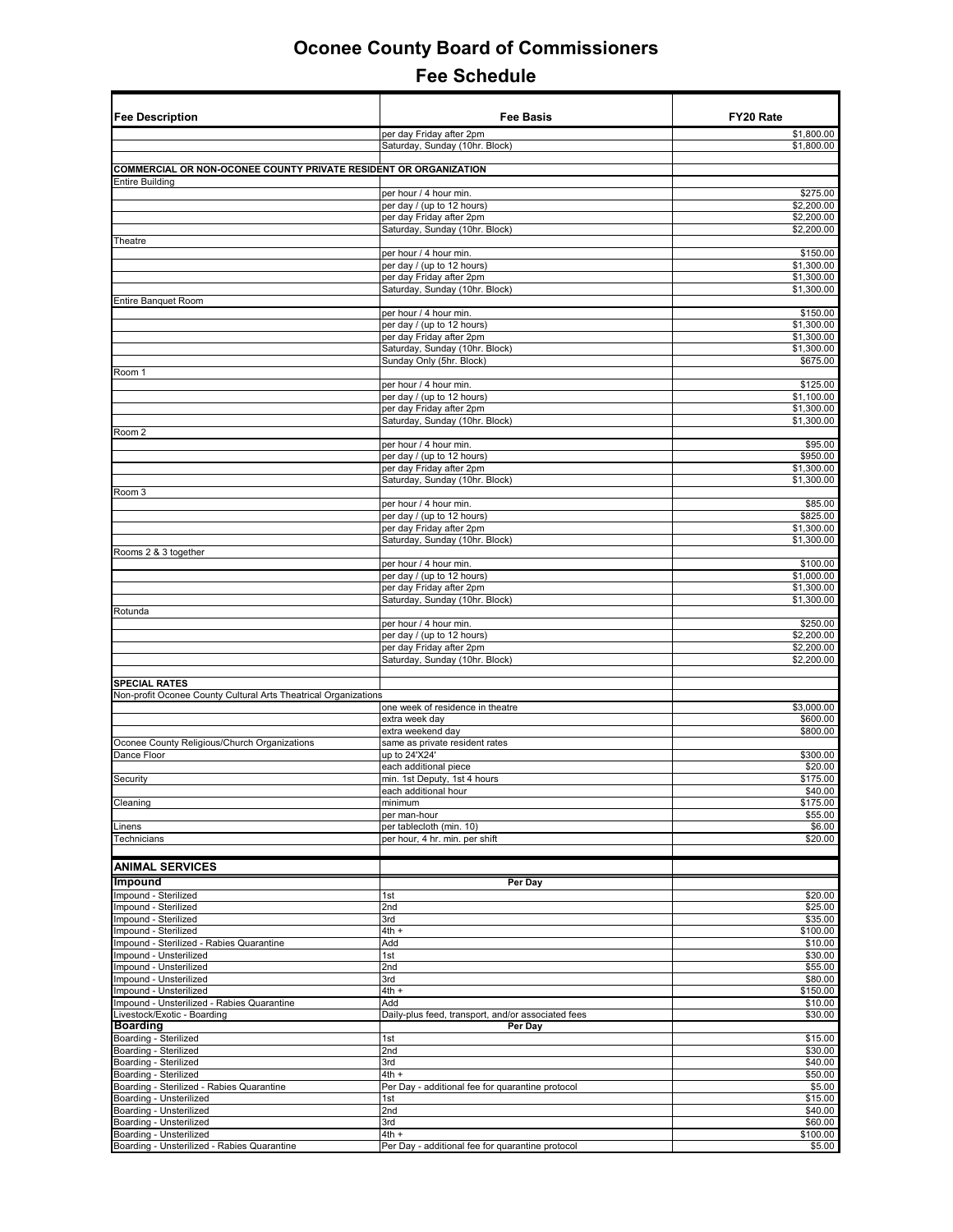| <b>Fee Description</b>                                               | <b>Fee Basis</b>                                              | FY20 Rate                |
|----------------------------------------------------------------------|---------------------------------------------------------------|--------------------------|
|                                                                      | per day Friday after 2pm                                      | \$1,800.00               |
|                                                                      | Saturday, Sunday (10hr. Block)                                | \$1,800.00               |
| COMMERCIAL OR NON-OCONEE COUNTY PRIVATE RESIDENT OR ORGANIZATION     |                                                               |                          |
| <b>Entire Building</b>                                               | per hour / 4 hour min.                                        | \$275.00                 |
|                                                                      | per day / (up to 12 hours)                                    | \$2,200.00               |
|                                                                      | per day Friday after 2pm                                      | \$2,200.00               |
| Theatre                                                              | Saturday, Sunday (10hr. Block)                                | \$2,200.00               |
|                                                                      | per hour / 4 hour min                                         | \$150.00                 |
|                                                                      | per day / (up to 12 hours)                                    | \$1,300.00               |
|                                                                      | per day Friday after 2pm                                      | \$1,300.00<br>\$1,300.00 |
| Entire Banquet Room                                                  | Saturday, Sunday (10hr. Block)                                |                          |
|                                                                      | per hour / 4 hour min.                                        | \$150.00                 |
|                                                                      | per day / (up to 12 hours)                                    | \$1,300.00               |
|                                                                      | per day Friday after 2pm                                      | \$1,300.00<br>\$1,300.00 |
|                                                                      | Saturday, Sunday (10hr. Block)<br>Sunday Only (5hr. Block)    | \$675.00                 |
| Room 1                                                               |                                                               |                          |
|                                                                      | per hour / 4 hour min.                                        | \$125.00                 |
|                                                                      | per day / (up to 12 hours)                                    | \$1,100.00               |
|                                                                      | per day Friday after 2pm<br>Saturday, Sunday (10hr. Block)    | \$1,300.00<br>\$1,300.00 |
| Room 2                                                               |                                                               |                          |
|                                                                      | per hour / 4 hour min.                                        | \$95.00                  |
|                                                                      | per day / (up to 12 hours)                                    | \$950.00                 |
|                                                                      | per day Friday after 2pm<br>Saturday, Sunday (10hr. Block)    | \$1,300.00<br>\$1,300.00 |
| Room 3                                                               |                                                               |                          |
|                                                                      | per hour / 4 hour min.                                        | \$85.00                  |
|                                                                      | per day / (up to 12 hours)                                    | \$825.00                 |
|                                                                      | per day Friday after 2pm<br>Saturday, Sunday (10hr. Block)    | \$1,300.00<br>\$1,300.00 |
| Rooms 2 & 3 together                                                 |                                                               |                          |
|                                                                      | per hour / 4 hour min.                                        | \$100.00                 |
|                                                                      | per day / (up to 12 hours)                                    | \$1,000.00               |
|                                                                      | per day Friday after 2pm                                      | \$1,300.00<br>\$1,300.00 |
| Rotunda                                                              | Saturday, Sunday (10hr. Block)                                |                          |
|                                                                      | per hour / 4 hour min.                                        | \$250.00                 |
|                                                                      | per day / (up to 12 hours)                                    | \$2,200.00               |
|                                                                      | per day Friday after 2pm                                      | \$2,200.00<br>\$2,200.00 |
|                                                                      | Saturday, Sunday (10hr. Block)                                |                          |
| <b>SPECIAL RATES</b>                                                 |                                                               |                          |
| Non-profit Oconee County Cultural Arts Theatrical Organizations      |                                                               |                          |
|                                                                      | one week of residence in theatre<br>extra week day            | \$3,000.00<br>\$600.00   |
|                                                                      | extra weekend day                                             | \$800.00                 |
| Oconee County Religious/Church Organizations                         | same as private resident rates                                |                          |
| Dance Floor                                                          | up to 24'X24'                                                 | \$300.00                 |
|                                                                      | each additional piece                                         | \$20.00                  |
| Security                                                             | min. 1st Deputy, 1st 4 hours<br>each additional hour          | \$175.00<br>\$40.00      |
| Cleaning                                                             | minimum                                                       | \$175.00                 |
|                                                                      | per man-hour                                                  | \$55.00                  |
| _inens                                                               | per tablecloth (min. 10)                                      | \$6.00                   |
| Technicians                                                          | per hour, 4 hr. min. per shift                                | \$20.00                  |
| <b>ANIMAL SERVICES</b>                                               |                                                               |                          |
|                                                                      |                                                               |                          |
| Impound<br>mpound - Sterilized                                       | Per Day<br>1st                                                | \$20.00                  |
| mpound - Sterilized                                                  | 2nd                                                           | \$25.00                  |
| Impound - Sterilized                                                 | 3rd                                                           | \$35.00                  |
| Impound - Sterilized                                                 | $4th +$                                                       | \$100.00                 |
| Impound - Sterilized - Rabies Quarantine<br>Impound - Unsterilized   | Add<br>1st                                                    | \$10.00<br>\$30.00       |
| Impound - Unsterilized                                               | 2nd                                                           | \$55.00                  |
| Impound - Unsterilized                                               | 3rd                                                           | \$80.00                  |
| mpound - Unsterilized                                                | $4th +$                                                       | \$150.00                 |
| Impound - Unsterilized - Rabies Quarantine                           | Add                                                           | \$10.00                  |
| Livestock/Exotic - Boarding<br><b>Boarding</b>                       | Daily-plus feed, transport, and/or associated fees<br>Per Day | \$30.00                  |
| Boarding - Sterilized                                                | 1st                                                           | \$15.00                  |
| Boarding - Sterilized                                                | 2nd                                                           | \$30.00                  |
| Boarding - Sterilized                                                | 3rd                                                           | \$40.00                  |
| Boarding - Sterilized                                                | $4th +$                                                       | \$50.00                  |
| Boarding - Sterilized - Rabies Quarantine<br>Boarding - Unsterilized | Per Day - additional fee for quarantine protocol<br>1st       | \$5.00<br>\$15.00        |
| Boarding - Unsterilized                                              | 2nd                                                           | \$40.00                  |
| Boarding - Unsterilized                                              | 3rd                                                           | \$60.00                  |
| Boarding - Unsterilized                                              | 4th +                                                         | \$100.00                 |
| Boarding - Unsterilized - Rabies Quarantine                          | Per Day - additional fee for quarantine protocol              | \$5.00                   |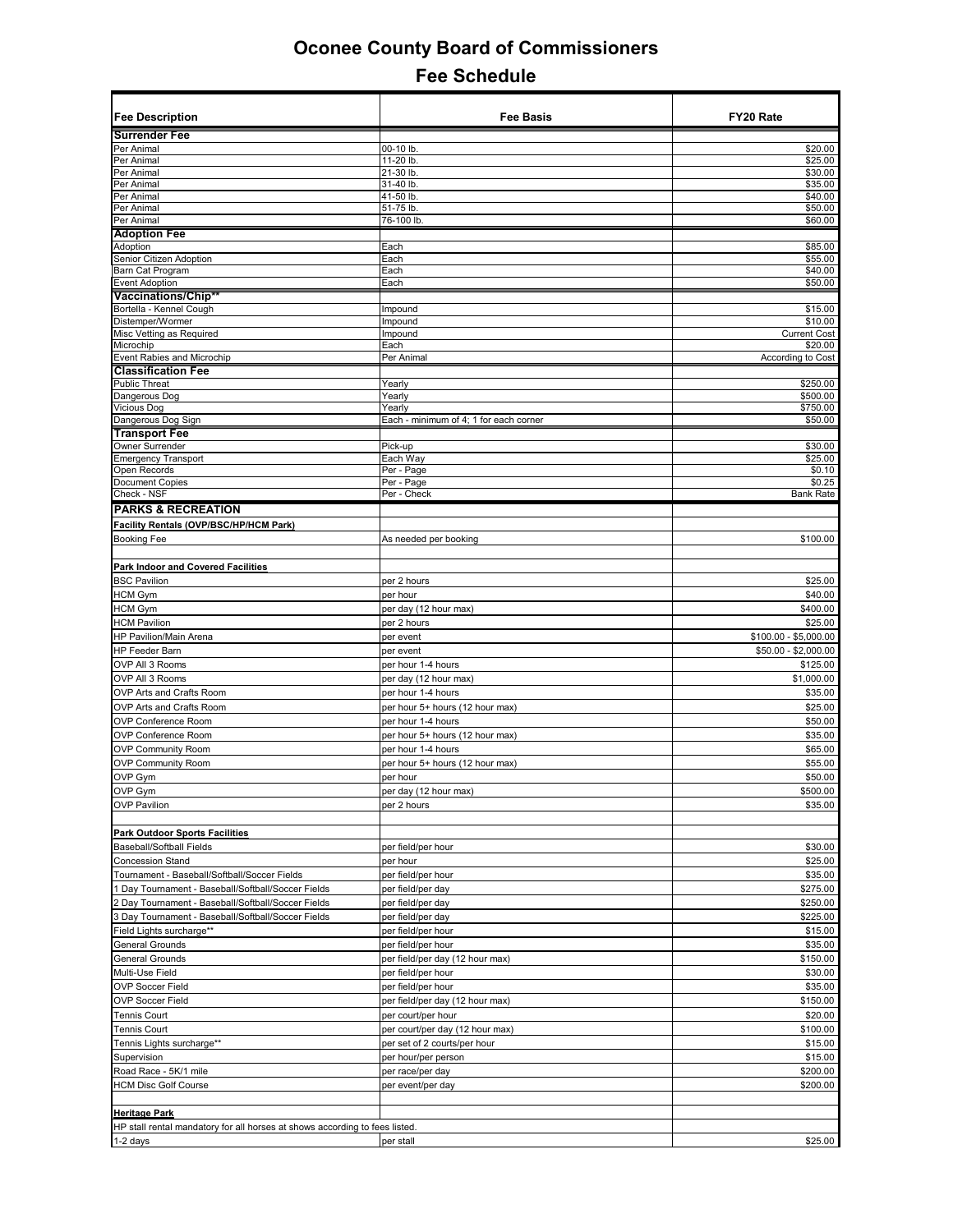| <b>Fee Description</b>                                                      | <b>Fee Basis</b>                       | FY20 Rate             |
|-----------------------------------------------------------------------------|----------------------------------------|-----------------------|
| <b>Surrender Fee</b>                                                        |                                        |                       |
| Per Animal                                                                  | 00-10 lb.                              | \$20.00               |
| Per Animal                                                                  | 11-20 lb.                              | \$25.00               |
| Per Animal                                                                  | 21-30 lb.                              | \$30.00               |
| Per Animal<br>Per Animal                                                    | 31-40 lb.<br>41-50 lb                  | \$35.00<br>\$40.00    |
| Per Animal                                                                  | 51-75 lb.                              | \$50.00               |
| Per Animal                                                                  | 76-100 lb                              | \$60.00               |
| <b>Adoption Fee</b>                                                         |                                        |                       |
| Adoption                                                                    | Each                                   | \$85.00               |
| Senior Citizen Adoption                                                     | Each                                   | \$55.00               |
| Barn Cat Program                                                            | Each                                   | \$40.00               |
| <b>Event Adoption</b>                                                       | Each                                   | \$50.00               |
| Vaccinations/Chip**                                                         |                                        |                       |
| Bortella - Kennel Cough                                                     | Impound                                | \$15.00               |
| Distemper/Wormer                                                            | Impound                                | \$10.00               |
| Misc Vetting as Required                                                    | Impound                                | <b>Current Cost</b>   |
| Microchip                                                                   | Each                                   | \$20.00               |
| Event Rabies and Microchip                                                  | Per Animal                             | According to Cost     |
| <b>Classification Fee</b>                                                   |                                        |                       |
| <b>Public Threat</b>                                                        | Yearly                                 | \$250.00              |
| Dangerous Dog<br><b>Vicious Dog</b>                                         | Yearly<br>Yearly                       | \$500.00<br>\$750.00  |
| Dangerous Dog Sign                                                          | Each - minimum of 4; 1 for each corner | \$50.00               |
| <b>Transport Fee</b>                                                        |                                        |                       |
| Owner Surrender                                                             | Pick-up                                | \$30.00               |
| <b>Emergency Transport</b>                                                  | Each Way                               | \$25.00               |
| Open Records                                                                | Per - Page                             | \$0.10                |
| <b>Document Copies</b>                                                      | Per - Page                             | \$0.25                |
| Check - NSF                                                                 | Per - Check                            | <b>Bank Rate</b>      |
| <b>PARKS &amp; RECREATION</b>                                               |                                        |                       |
| Facility Rentals (OVP/BSC/HP/HCM Park)                                      |                                        |                       |
|                                                                             |                                        | \$100.00              |
| <b>Booking Fee</b>                                                          | As needed per booking                  |                       |
|                                                                             |                                        |                       |
| <b>Park Indoor and Covered Facilities</b>                                   |                                        |                       |
| <b>BSC Pavilion</b>                                                         | per 2 hours                            | \$25.00               |
| <b>HCM Gym</b>                                                              | per hour                               | \$40.00               |
| <b>HCM Gym</b>                                                              | per day (12 hour max)                  | \$400.00              |
| <b>HCM Pavilion</b>                                                         | per 2 hours                            | \$25.00               |
| HP Pavilion/Main Arena                                                      | per event                              | $$100.00 - $5,000.00$ |
| <b>HP Feeder Barn</b>                                                       | per event                              | \$50.00 - \$2,000.00  |
| OVP All 3 Rooms                                                             | per hour 1-4 hours                     | \$125.00              |
| OVP All 3 Rooms                                                             | per day (12 hour max)                  | \$1,000.00            |
| OVP Arts and Crafts Room                                                    | per hour 1-4 hours                     | \$35.00               |
| OVP Arts and Crafts Room                                                    | per hour 5+ hours (12 hour max)        | \$25.00               |
| <b>OVP Conference Room</b>                                                  | per hour 1-4 hours                     | \$50.00               |
| <b>OVP Conference Room</b>                                                  | per hour 5+ hours (12 hour max)        | \$35.00               |
| <b>OVP Community Room</b>                                                   | per hour 1-4 hours                     | \$65.00               |
| <b>OVP Community Room</b>                                                   | per hour 5+ hours (12 hour max)        | \$55.00               |
| OVP Gym                                                                     | per hour                               | \$50.00               |
| OVP Gym                                                                     | per day (12 hour max)                  | \$500.00              |
| <b>OVP Pavilion</b>                                                         |                                        |                       |
|                                                                             | per 2 hours                            | \$35.00               |
|                                                                             |                                        |                       |
| <b>Park Outdoor Sports Facilities</b>                                       |                                        | \$30.00               |
| Baseball/Softball Fields                                                    | per field/per hour                     |                       |
| <b>Concession Stand</b>                                                     | per hour                               | \$25.00               |
| Tournament - Baseball/Softball/Soccer Fields                                | per field/per hour                     | \$35.00               |
| 1 Day Tournament - Baseball/Softball/Soccer Fields                          | per field/per day                      | \$275.00              |
| 2 Day Tournament - Baseball/Softball/Soccer Fields                          | per field/per day                      | \$250.00              |
| 3 Day Tournament - Baseball/Softball/Soccer Fields                          | per field/per day                      | \$225.00              |
| Field Lights surcharge**                                                    | per field/per hour                     | \$15.00               |
| General Grounds                                                             | per field/per hour                     | \$35.00               |
| General Grounds                                                             | per field/per day (12 hour max)        | \$150.00              |
| Multi-Use Field                                                             | per field/per hour                     | \$30.00               |
| <b>OVP Soccer Field</b>                                                     | per field/per hour                     | \$35.00               |
| <b>OVP Soccer Field</b>                                                     | per field/per day (12 hour max)        | \$150.00              |
| Tennis Court                                                                | per court/per hour                     | \$20.00               |
| Tennis Court                                                                | per court/per day (12 hour max)        | \$100.00              |
| Tennis Lights surcharge**                                                   | per set of 2 courts/per hour           | \$15.00               |
| Supervision                                                                 | per hour/per person                    | \$15.00               |
| Road Race - 5K/1 mile                                                       | per race/per day                       | \$200.00              |
| <b>HCM Disc Golf Course</b>                                                 |                                        | \$200.00              |
|                                                                             | per event/per day                      |                       |
|                                                                             |                                        |                       |
| <b>Heritage Park</b>                                                        |                                        |                       |
| HP stall rental mandatory for all horses at shows according to fees listed. |                                        |                       |
| 1-2 days                                                                    | per stall                              | \$25.00               |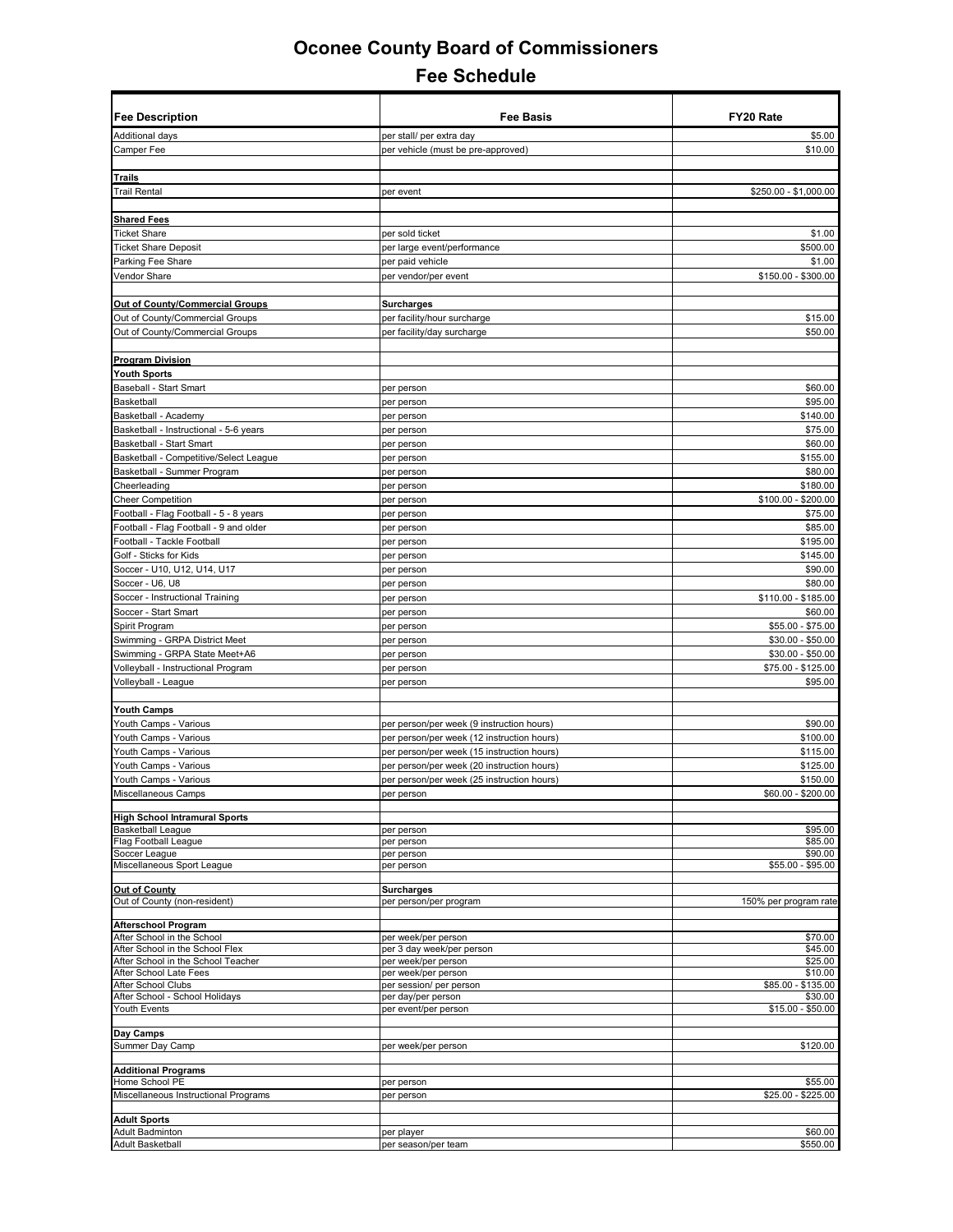| <b>Fee Description</b>                                                | <b>Fee Basis</b>                                 | FY20 Rate                    |
|-----------------------------------------------------------------------|--------------------------------------------------|------------------------------|
| <b>Additional days</b>                                                | per stall/ per extra day                         | \$5.00                       |
| Camper Fee                                                            | per vehicle (must be pre-approved)               | \$10.00                      |
|                                                                       |                                                  |                              |
| <b>Trails</b><br><b>Trail Rental</b>                                  |                                                  |                              |
|                                                                       | per event                                        | \$250.00 - \$1,000.00        |
| <b>Shared Fees</b>                                                    |                                                  |                              |
| <b>Ticket Share</b>                                                   | per sold ticket                                  | \$1.00                       |
| <b>Ticket Share Deposit</b>                                           | per large event/performance                      | \$500.00                     |
| Parking Fee Share                                                     | per paid vehicle                                 | \$1.00                       |
| Vendor Share                                                          | per vendor/per event                             | \$150.00 - \$300.00          |
|                                                                       |                                                  |                              |
| Out of County/Commercial Groups<br>Out of County/Commercial Groups    | <b>Surcharges</b><br>per facility/hour surcharge | \$15.00                      |
| Out of County/Commercial Groups                                       | per facility/day surcharge                       | \$50.00                      |
|                                                                       |                                                  |                              |
| <b>Program Division</b>                                               |                                                  |                              |
| <b>Youth Sports</b>                                                   |                                                  |                              |
| Baseball - Start Smart                                                | per person                                       | \$60.00                      |
| Basketball                                                            | per person                                       | \$95.00                      |
| Basketball - Academy                                                  | per person                                       | \$140.00                     |
| Basketball - Instructional - 5-6 years<br>Basketball - Start Smart    | per person<br>per person                         | \$75.00<br>\$60.00           |
| Basketball - Competitive/Select League                                | per person                                       | \$155.00                     |
| Basketball - Summer Program                                           | per person                                       | \$80.00                      |
| Cheerleading                                                          | per person                                       | \$180.00                     |
| <b>Cheer Competition</b>                                              | per person                                       | \$100.00 - \$200.00          |
| Football - Flag Football - 5 - 8 years                                | per person                                       | \$75.00                      |
| Football - Flag Football - 9 and older                                | per person                                       | \$85.00                      |
| Football - Tackle Football                                            | per person                                       | \$195.00                     |
| Golf - Sticks for Kids<br>Soccer - U10, U12, U14, U17                 | per person                                       | \$145.00<br>\$90.00          |
| Soccer - U6, U8                                                       | per person<br>per person                         | \$80.00                      |
| Soccer - Instructional Training                                       | per person                                       | \$110.00 - \$185.00          |
| Soccer - Start Smart                                                  | per person                                       | \$60.00                      |
| Spirit Program                                                        | per person                                       | \$55.00 - \$75.00            |
| Swimming - GRPA District Meet                                         | per person                                       | $$30.00 - $50.00$            |
| Swimming - GRPA State Meet+A6                                         | per person                                       | $$30.00 - $50.00$            |
| Volleyball - Instructional Program                                    | per person                                       | \$75.00 - \$125.00           |
| Volleyball - League                                                   | per person                                       | \$95.00                      |
| <b>Youth Camps</b>                                                    |                                                  |                              |
| Youth Camps - Various                                                 | per person/per week (9 instruction hours)        | \$90.00                      |
| Youth Camps - Various                                                 | per person/per week (12 instruction hours)       | \$100.00                     |
| Youth Camps - Various                                                 | per person/per week (15 instruction hours)       | \$115.00                     |
| Youth Camps - Various                                                 | per person/per week (20 instruction hours)       | \$125.00                     |
| Youth Camps - Various                                                 | per person/per week (25 instruction hours)       | \$150.00                     |
| Miscellaneous Camps                                                   | per person                                       | \$60.00 - \$200.00           |
| <b>High School Intramural Sports</b>                                  |                                                  |                              |
| <b>Basketball League</b>                                              | per person                                       | \$95.00                      |
| Flag Football League<br>Soccer League                                 | per person<br>per person                         | \$85.00<br>\$90.00           |
| Miscellaneous Sport League                                            | per person                                       | \$55.00 - \$95.00            |
|                                                                       |                                                  |                              |
| Out of County<br>Out of County (non-resident)                         | <b>Surcharges</b><br>per person/per program      | 150% per program rate        |
|                                                                       |                                                  |                              |
| <b>Afterschool Program</b>                                            |                                                  |                              |
| After School in the School                                            | per week/per person                              | \$70.00                      |
| After School in the School Flex<br>After School in the School Teacher | per 3 day week/per person<br>per week/per person | \$45.00<br>\$25.00           |
| After School Late Fees                                                | per week/per person                              | \$10.00                      |
| After School Clubs                                                    | per session/ per person                          | \$85.00 - \$135.00           |
| After School - School Holidays<br>Youth Events                        | per day/per person<br>per event/per person       | \$30.00<br>$$15.00 - $50.00$ |
|                                                                       |                                                  |                              |
| Day Camps                                                             |                                                  |                              |
| Summer Day Camp                                                       | per week/per person                              | \$120.00                     |
| <b>Additional Programs</b>                                            |                                                  |                              |
| Home School PE                                                        | per person                                       | \$55.00                      |
| Miscellaneous Instructional Programs                                  | per person                                       | \$25.00 - \$225.00           |
| <b>Adult Sports</b>                                                   |                                                  |                              |
| <b>Adult Badminton</b>                                                | per player                                       | \$60.00                      |
| <b>Adult Basketball</b>                                               | per season/per team                              | \$550.00                     |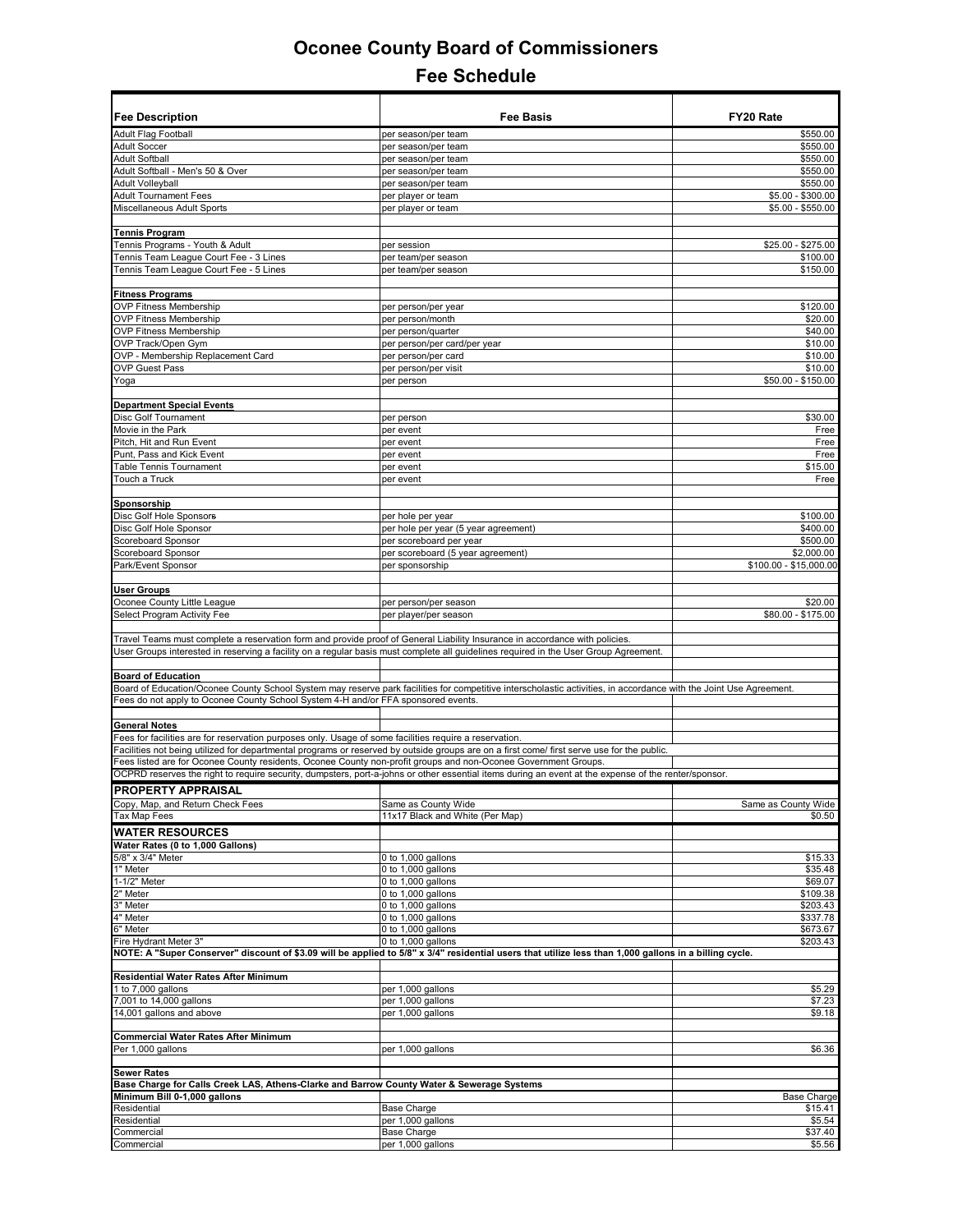| <b>Fee Description</b>                                                                                          | <b>Fee Basis</b>                                                                                                                                                                                                                                                                                           | FY20 Rate                              |
|-----------------------------------------------------------------------------------------------------------------|------------------------------------------------------------------------------------------------------------------------------------------------------------------------------------------------------------------------------------------------------------------------------------------------------------|----------------------------------------|
| <b>Adult Flag Football</b>                                                                                      | per season/per team                                                                                                                                                                                                                                                                                        | \$550.00                               |
| <b>Adult Soccer</b>                                                                                             | per season/per team                                                                                                                                                                                                                                                                                        | \$550.00                               |
| <b>Adult Softball</b>                                                                                           | per season/per team                                                                                                                                                                                                                                                                                        | \$550.00                               |
| Adult Softball - Men's 50 & Over                                                                                | per season/per team                                                                                                                                                                                                                                                                                        | \$550.00                               |
| <b>Adult Volleyball</b>                                                                                         | per season/per team                                                                                                                                                                                                                                                                                        | \$550.00                               |
| <b>Adult Tournament Fees</b><br>Miscellaneous Adult Sports                                                      | per player or team                                                                                                                                                                                                                                                                                         | $$5.00 - $300.00$<br>$$5.00 - $550.00$ |
|                                                                                                                 | per player or team                                                                                                                                                                                                                                                                                         |                                        |
| <b>Tennis Program</b>                                                                                           |                                                                                                                                                                                                                                                                                                            |                                        |
| Tennis Programs - Youth & Adult                                                                                 | per session                                                                                                                                                                                                                                                                                                | \$25.00 - \$275.00                     |
| Tennis Team League Court Fee - 3 Lines                                                                          | per team/per season                                                                                                                                                                                                                                                                                        | \$100.00                               |
| Tennis Team League Court Fee - 5 Lines                                                                          | per team/per season                                                                                                                                                                                                                                                                                        | \$150.00                               |
|                                                                                                                 |                                                                                                                                                                                                                                                                                                            |                                        |
| <b>Fitness Programs</b><br><b>OVP Fitness Membership</b>                                                        | per person/per year                                                                                                                                                                                                                                                                                        | \$120.00                               |
| <b>OVP Fitness Membership</b>                                                                                   | per person/month                                                                                                                                                                                                                                                                                           | \$20.00                                |
| <b>OVP Fitness Membership</b>                                                                                   | per person/quarter                                                                                                                                                                                                                                                                                         | \$40.00                                |
| OVP Track/Open Gym                                                                                              | per person/per card/per year                                                                                                                                                                                                                                                                               | \$10.00                                |
| OVP - Membership Replacement Card                                                                               | per person/per card                                                                                                                                                                                                                                                                                        | \$10.00                                |
| <b>OVP Guest Pass</b>                                                                                           | per person/per visit                                                                                                                                                                                                                                                                                       | \$10.00                                |
| Yoga                                                                                                            | per person                                                                                                                                                                                                                                                                                                 | \$50.00 - \$150.00                     |
|                                                                                                                 |                                                                                                                                                                                                                                                                                                            |                                        |
| <b>Department Special Events</b>                                                                                |                                                                                                                                                                                                                                                                                                            |                                        |
| Disc Golf Tournament                                                                                            | per person                                                                                                                                                                                                                                                                                                 | \$30.00                                |
| Movie in the Park                                                                                               | per event                                                                                                                                                                                                                                                                                                  | Free                                   |
| Pitch, Hit and Run Event                                                                                        | per event                                                                                                                                                                                                                                                                                                  | Free                                   |
| Punt, Pass and Kick Event                                                                                       | per event                                                                                                                                                                                                                                                                                                  | Free                                   |
| Table Tennis Tournament                                                                                         | per event                                                                                                                                                                                                                                                                                                  | \$15.00                                |
| Touch a Truck                                                                                                   | per event                                                                                                                                                                                                                                                                                                  | Free                                   |
| Sponsorship                                                                                                     |                                                                                                                                                                                                                                                                                                            |                                        |
| Disc Golf Hole Sponsors                                                                                         | per hole per year                                                                                                                                                                                                                                                                                          | \$100.00                               |
| Disc Golf Hole Sponsor                                                                                          | per hole per year (5 year agreement)                                                                                                                                                                                                                                                                       | \$400.00                               |
| Scoreboard Sponsor                                                                                              | per scoreboard per year                                                                                                                                                                                                                                                                                    | \$500.00                               |
| Scoreboard Sponsor                                                                                              | per scoreboard (5 year agreement)                                                                                                                                                                                                                                                                          | \$2,000.00                             |
| Park/Event Sponsor                                                                                              | per sponsorship                                                                                                                                                                                                                                                                                            | \$100.00 - \$15,000.00                 |
|                                                                                                                 |                                                                                                                                                                                                                                                                                                            |                                        |
| <b>User Groups</b>                                                                                              |                                                                                                                                                                                                                                                                                                            |                                        |
| Oconee County Little League                                                                                     | per person/per season                                                                                                                                                                                                                                                                                      | \$20.00                                |
| Select Program Activity Fee                                                                                     | per player/per season                                                                                                                                                                                                                                                                                      | \$80.00 - \$175.00                     |
| <b>Board of Education</b><br>Fees do not apply to Oconee County School System 4-H and/or FFA sponsored events.  | User Groups interested in reserving a facility on a regular basis must complete all guidelines required in the User Group Agreement.<br>Board of Education/Oconee County School System may reserve park facilities for competitive interscholastic activities, in accordance with the Joint Use Agreement. |                                        |
| <b>General Notes</b>                                                                                            |                                                                                                                                                                                                                                                                                                            |                                        |
| Fees for facilities are for reservation purposes only. Usage of some facilities require a reservation.          |                                                                                                                                                                                                                                                                                                            |                                        |
|                                                                                                                 | Facilities not being utilized for departmental programs or reserved by outside groups are on a first come/ first serve use for the public.                                                                                                                                                                 |                                        |
| Fees listed are for Oconee County residents, Oconee County non-profit groups and non-Oconee Government Groups.  |                                                                                                                                                                                                                                                                                                            |                                        |
|                                                                                                                 | OCPRD reserves the right to require security, dumpsters, port-a-johns or other essential items during an event at the expense of the renter/sponsor.                                                                                                                                                       |                                        |
| <b>PROPERTY APPRAISAL</b>                                                                                       |                                                                                                                                                                                                                                                                                                            |                                        |
| Copy, Map, and Return Check Fees                                                                                | Same as County Wide                                                                                                                                                                                                                                                                                        | Same as County Wide                    |
| <b>Tax Map Fees</b>                                                                                             | 11x17 Black and White (Per Map)                                                                                                                                                                                                                                                                            | \$0.50                                 |
| <b>WATER RESOURCES</b>                                                                                          |                                                                                                                                                                                                                                                                                                            |                                        |
| Water Rates (0 to 1,000 Gallons)                                                                                |                                                                                                                                                                                                                                                                                                            |                                        |
| 5/8" x 3/4" Meter                                                                                               | 0 to 1,000 gallons                                                                                                                                                                                                                                                                                         | \$15.33                                |
| 1" Meter                                                                                                        | 0 to 1,000 gallons                                                                                                                                                                                                                                                                                         | \$35.48                                |
| 1-1/2" Meter                                                                                                    | 0 to 1,000 gallons                                                                                                                                                                                                                                                                                         | \$69.07                                |
| 2" Meter                                                                                                        | 0 to 1,000 gallons                                                                                                                                                                                                                                                                                         | \$109.38                               |
| 3" Meter                                                                                                        | 0 to 1,000 gallons                                                                                                                                                                                                                                                                                         | \$203.43                               |
| 4" Meter<br>6" Meter                                                                                            | 0 to 1,000 gallons<br>0 to 1,000 gallons                                                                                                                                                                                                                                                                   | \$337.78                               |
| Fire Hydrant Meter 3"                                                                                           | 0 to 1,000 gallons                                                                                                                                                                                                                                                                                         | \$673.67<br>\$203.43                   |
|                                                                                                                 | NOTE: A "Super Conserver" discount of \$3.09 will be applied to 5/8" x 3/4" residential users that utilize less than 1,000 gallons in a billing cycle.                                                                                                                                                     |                                        |
| Residential Water Rates After Minimum                                                                           |                                                                                                                                                                                                                                                                                                            |                                        |
| 1 to 7,000 gallons                                                                                              | per 1,000 gallons                                                                                                                                                                                                                                                                                          | \$5.29                                 |
| 7,001 to 14,000 gallons                                                                                         | per 1,000 gallons                                                                                                                                                                                                                                                                                          | \$7.23                                 |
| 14,001 gallons and above                                                                                        | per 1,000 gallons                                                                                                                                                                                                                                                                                          | \$9.18                                 |
|                                                                                                                 |                                                                                                                                                                                                                                                                                                            |                                        |
| Commercial Water Rates After Minimum                                                                            |                                                                                                                                                                                                                                                                                                            |                                        |
| Per 1,000 gallons                                                                                               | per 1,000 gallons                                                                                                                                                                                                                                                                                          | \$6.36                                 |
|                                                                                                                 |                                                                                                                                                                                                                                                                                                            |                                        |
| <b>Sewer Rates</b><br>Base Charge for Calls Creek LAS, Athens-Clarke and Barrow County Water & Sewerage Systems |                                                                                                                                                                                                                                                                                                            |                                        |
| Minimum Bill 0-1,000 gallons                                                                                    |                                                                                                                                                                                                                                                                                                            | <b>Base Charge</b>                     |
| Residential                                                                                                     | Base Charge                                                                                                                                                                                                                                                                                                | \$15.41                                |
| Residential                                                                                                     | per 1,000 gallons                                                                                                                                                                                                                                                                                          | \$5.54                                 |
| Commercial                                                                                                      | Base Charge                                                                                                                                                                                                                                                                                                | \$37.40                                |
| Commercial                                                                                                      | per 1,000 gallons                                                                                                                                                                                                                                                                                          | \$5.56                                 |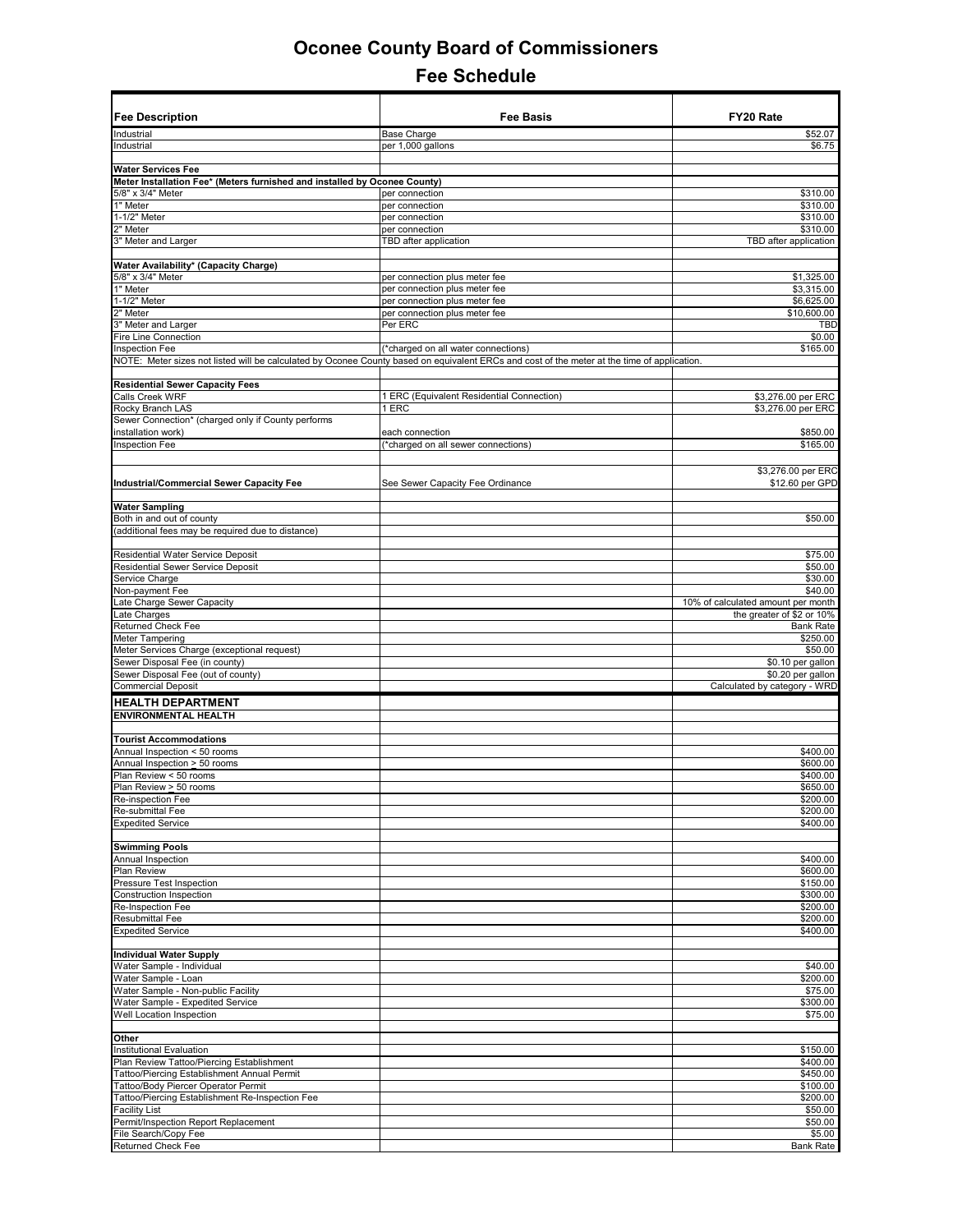| <b>Fee Description</b>                                                    | <b>Fee Basis</b>                                                                                                                            | FY20 Rate                                |
|---------------------------------------------------------------------------|---------------------------------------------------------------------------------------------------------------------------------------------|------------------------------------------|
| Industrial                                                                | <b>Base Charge</b>                                                                                                                          | \$52.07                                  |
| Industrial                                                                | per 1,000 gallons                                                                                                                           | \$6.75                                   |
| <b>Water Services Fee</b>                                                 |                                                                                                                                             |                                          |
| Meter Installation Fee* (Meters furnished and installed by Oconee County) |                                                                                                                                             |                                          |
| 5/8" x 3/4" Meter                                                         | per connection                                                                                                                              | \$310.00                                 |
| 1" Meter                                                                  | per connection                                                                                                                              | \$310.00                                 |
| 1-1/2" Meter<br>2" Meter                                                  | per connection<br>per connection                                                                                                            | \$310.00<br>\$310.00                     |
| 3" Meter and Larger                                                       | TBD after application                                                                                                                       | TBD after application                    |
|                                                                           |                                                                                                                                             |                                          |
| Water Availability* (Capacity Charge)                                     |                                                                                                                                             |                                          |
| 5/8" x 3/4" Meter                                                         | per connection plus meter fee                                                                                                               | \$1,325.00                               |
| 1" Meter                                                                  | per connection plus meter fee                                                                                                               | \$3,315.00                               |
| 1-1/2" Meter                                                              | per connection plus meter fee                                                                                                               | \$6,625.00<br>\$10,600.00                |
| 2" Meter<br>3" Meter and Larger                                           | per connection plus meter fee<br>Per ERC                                                                                                    | <b>TBD</b>                               |
| Fire Line Connection                                                      |                                                                                                                                             | \$0.00                                   |
| Inspection Fee                                                            | (*charged on all water connections)                                                                                                         | \$165.00                                 |
|                                                                           | NOTE: Meter sizes not listed will be calculated by Oconee County based on equivalent ERCs and cost of the meter at the time of application. |                                          |
|                                                                           |                                                                                                                                             |                                          |
| <b>Residential Sewer Capacity Fees</b>                                    |                                                                                                                                             |                                          |
| Calls Creek WRF<br>Rocky Branch LAS                                       | 1 ERC (Equivalent Residential Connection)<br>1 ERC                                                                                          | \$3,276.00 per ERC<br>\$3,276.00 per ERC |
| Sewer Connection* (charged only if County performs                        |                                                                                                                                             |                                          |
| nstallation work)                                                         | each connection                                                                                                                             | \$850.00                                 |
| <b>Inspection Fee</b>                                                     | (*charged on all sewer connections)                                                                                                         | \$165.00                                 |
|                                                                           |                                                                                                                                             |                                          |
| Industrial/Commercial Sewer Capacity Fee                                  | See Sewer Capacity Fee Ordinance                                                                                                            | \$3,276.00 per ERC<br>\$12.60 per GPD    |
|                                                                           |                                                                                                                                             |                                          |
| <b>Water Sampling</b>                                                     |                                                                                                                                             |                                          |
| Both in and out of county                                                 |                                                                                                                                             | \$50.00                                  |
| additional fees may be required due to distance)                          |                                                                                                                                             |                                          |
| Residential Water Service Deposit                                         |                                                                                                                                             | \$75.00                                  |
| Residential Sewer Service Deposit                                         |                                                                                                                                             | \$50.00                                  |
| Service Charge                                                            |                                                                                                                                             | \$30.00                                  |
| Non-payment Fee                                                           |                                                                                                                                             | \$40.00                                  |
| ate Charge Sewer Capacity                                                 |                                                                                                                                             | 10% of calculated amount per month       |
| ate Charges                                                               |                                                                                                                                             | the greater of \$2 or 10%                |
| Returned Check Fee<br>Meter Tampering                                     |                                                                                                                                             | <b>Bank Rate</b><br>\$250.00             |
| Meter Services Charge (exceptional request)                               |                                                                                                                                             | \$50.00                                  |
| Sewer Disposal Fee (in county)                                            |                                                                                                                                             | \$0.10 per gallon                        |
| Sewer Disposal Fee (out of county)                                        |                                                                                                                                             | \$0.20 per gallon                        |
| <b>Commercial Deposit</b>                                                 |                                                                                                                                             | Calculated by category - WRD             |
| <b>HEALTH DEPARTMENT</b>                                                  |                                                                                                                                             |                                          |
| ENVIRONMENTAL HEALTH                                                      |                                                                                                                                             |                                          |
|                                                                           |                                                                                                                                             |                                          |
| <b>Tourist Accommodations</b>                                             |                                                                                                                                             |                                          |
| Annual Inspection < 50 rooms<br>Annual Inspection > 50 rooms              |                                                                                                                                             | \$400.00<br>\$600.00                     |
| Plan Review < 50 rooms                                                    |                                                                                                                                             | \$400.00                                 |
| Plan Review > 50 rooms                                                    |                                                                                                                                             | \$650.00                                 |
| Re-inspection Fee                                                         |                                                                                                                                             | \$200.00                                 |
| Re-submittal Fee                                                          |                                                                                                                                             | \$200.00                                 |
| <b>Expedited Service</b>                                                  |                                                                                                                                             | \$400.00                                 |
| <b>Swimming Pools</b>                                                     |                                                                                                                                             |                                          |
| Annual Inspection                                                         |                                                                                                                                             | \$400.00                                 |
| <b>Plan Review</b>                                                        |                                                                                                                                             | \$600.00                                 |
| <b>Pressure Test Inspection</b>                                           |                                                                                                                                             | \$150.00                                 |
| Construction Inspection                                                   |                                                                                                                                             | \$300.00                                 |
| Re-Inspection Fee                                                         |                                                                                                                                             | \$200.00                                 |
| <b>Resubmittal Fee</b><br><b>Expedited Service</b>                        |                                                                                                                                             | \$200.00<br>\$400.00                     |
|                                                                           |                                                                                                                                             |                                          |
| <b>Individual Water Supply</b>                                            |                                                                                                                                             |                                          |
| Water Sample - Individual                                                 |                                                                                                                                             | \$40.00                                  |
| Water Sample - Loan                                                       |                                                                                                                                             | \$200.00                                 |
| Water Sample - Non-public Facility                                        |                                                                                                                                             | \$75.00                                  |
| Water Sample - Expedited Service                                          |                                                                                                                                             | \$300.00                                 |
| Well Location Inspection                                                  |                                                                                                                                             | \$75.00                                  |
| Other                                                                     |                                                                                                                                             |                                          |
| Institutional Evaluation                                                  |                                                                                                                                             | \$150.00                                 |
| Plan Review Tattoo/Piercing Establishment                                 |                                                                                                                                             | \$400.00                                 |
| <b>Tattoo/Piercing Establishment Annual Permit</b>                        |                                                                                                                                             | \$450.00                                 |
| <b>Fattoo/Body Piercer Operator Permit</b>                                |                                                                                                                                             | \$100.00                                 |
| <b>Tattoo/Piercing Establishment Re-Inspection Fee</b><br>Facility List   |                                                                                                                                             | \$200.00<br>\$50.00                      |
| Permit/Inspection Report Replacement                                      |                                                                                                                                             | \$50.00                                  |
| File Search/Copy Fee                                                      |                                                                                                                                             | \$5.00                                   |
| Returned Check Fee                                                        |                                                                                                                                             | <b>Bank Rate</b>                         |